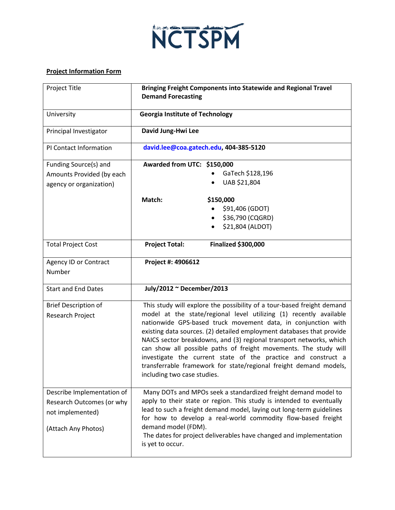

## **Project Information Form**

| <b>Project Title</b>        | Bringing Freight Components into Statewide and Regional Travel<br><b>Demand Forecasting</b>                                            |
|-----------------------------|----------------------------------------------------------------------------------------------------------------------------------------|
| University                  | <b>Georgia Institute of Technology</b>                                                                                                 |
| Principal Investigator      | David Jung-Hwi Lee                                                                                                                     |
| PI Contact Information      | david.lee@coa.gatech.edu, 404-385-5120                                                                                                 |
| Funding Source(s) and       | Awarded from UTC: \$150,000                                                                                                            |
| Amounts Provided (by each   | GaTech \$128,196                                                                                                                       |
| agency or organization)     | UAB \$21,804                                                                                                                           |
|                             | Match:<br>\$150,000                                                                                                                    |
|                             | \$91,406 (GDOT)                                                                                                                        |
|                             | \$36,790 (CQGRD)                                                                                                                       |
|                             | \$21,804 (ALDOT)                                                                                                                       |
| <b>Total Project Cost</b>   | <b>Project Total:</b><br><b>Finalized \$300,000</b>                                                                                    |
| Agency ID or Contract       | Project #: 4906612                                                                                                                     |
| Number                      |                                                                                                                                        |
| <b>Start and End Dates</b>  | July/2012 ~ December/2013                                                                                                              |
| <b>Brief Description of</b> | This study will explore the possibility of a tour-based freight demand                                                                 |
| Research Project            | model at the state/regional level utilizing (1) recently available                                                                     |
|                             | nationwide GPS-based truck movement data, in conjunction with<br>existing data sources. (2) detailed employment databases that provide |
|                             | NAICS sector breakdowns, and (3) regional transport networks, which                                                                    |
|                             | can show all possible paths of freight movements. The study will                                                                       |
|                             | investigate the current state of the practice and construct a                                                                          |
|                             | transferrable framework for state/regional freight demand models,                                                                      |
|                             | including two case studies.                                                                                                            |
| Describe Implementation of  | Many DOTs and MPOs seek a standardized freight demand model to                                                                         |
| Research Outcomes (or why   | apply to their state or region. This study is intended to eventually                                                                   |
| not implemented)            | lead to such a freight demand model, laying out long-term guidelines                                                                   |
|                             | for how to develop a real-world commodity flow-based freight                                                                           |
| (Attach Any Photos)         | demand model (FDM).<br>The dates for project deliverables have changed and implementation                                              |
|                             | is yet to occur.                                                                                                                       |
|                             |                                                                                                                                        |